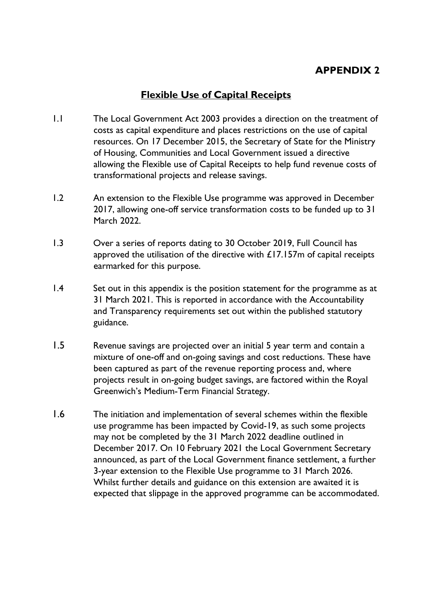## **APPENDIX 2**

## **Flexible Use of Capital Receipts**

- 1.1 The Local Government Act 2003 provides a direction on the treatment of costs as capital expenditure and places restrictions on the use of capital resources. On 17 December 2015, the Secretary of State for the Ministry of Housing, Communities and Local Government issued a directive allowing the Flexible use of Capital Receipts to help fund revenue costs of transformational projects and release savings.
- 1.2 An extension to the Flexible Use programme was approved in December 2017, allowing one-off service transformation costs to be funded up to 31 March 2022.
- 1.3 Over a series of reports dating to 30 October 2019, Full Council has approved the utilisation of the directive with  $£17.157m$  of capital receipts earmarked for this purpose.
- 1.4 Set out in this appendix is the position statement for the programme as at 31 March 2021. This is reported in accordance with the Accountability and Transparency requirements set out within the published statutory guidance.
- 1.5 Revenue savings are projected over an initial 5 year term and contain a mixture of one-off and on-going savings and cost reductions. These have been captured as part of the revenue reporting process and, where projects result in on-going budget savings, are factored within the Royal Greenwich's Medium-Term Financial Strategy.
- 1.6 The initiation and implementation of several schemes within the flexible use programme has been impacted by Covid-19, as such some projects may not be completed by the 31 March 2022 deadline outlined in December 2017. On 10 February 2021 the Local Government Secretary announced, as part of the Local Government finance settlement, a further 3-year extension to the Flexible Use programme to 31 March 2026. Whilst further details and guidance on this extension are awaited it is expected that slippage in the approved programme can be accommodated.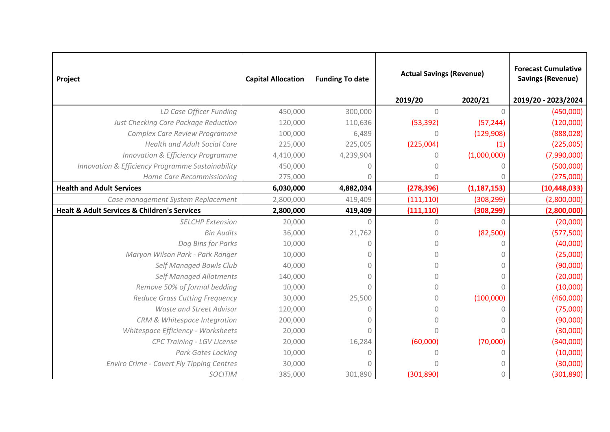| Project                                                     | <b>Capital Allocation</b> | <b>Funding To date</b> | <b>Actual Savings (Revenue)</b> |               | <b>Forecast Cumulative</b><br><b>Savings (Revenue)</b> |
|-------------------------------------------------------------|---------------------------|------------------------|---------------------------------|---------------|--------------------------------------------------------|
|                                                             |                           |                        | 2019/20                         | 2020/21       | 2019/20 - 2023/2024                                    |
| LD Case Officer Funding                                     | 450,000                   | 300,000                | $\overline{0}$                  | $\Omega$      | (450,000)                                              |
| Just Checking Care Package Reduction                        | 120,000                   | 110,636                | (53, 392)                       | (57, 244)     | (120,000)                                              |
| Complex Care Review Programme                               | 100,000                   | 6,489                  | $\Omega$                        | (129,908)     | (888, 028)                                             |
| <b>Health and Adult Social Care</b>                         | 225,000                   | 225,005                | (225,004)                       | (1)           | (225,005)                                              |
| <b>Innovation &amp; Efficiency Programme</b>                | 4,410,000                 | 4,239,904              | 0                               | (1,000,000)   | (7,990,000)                                            |
| Innovation & Efficiency Programme Sustainability            | 450,000                   | 0                      | n                               | Λ             | (500,000)                                              |
| Home Care Recommissioning                                   | 275,000                   |                        | $\Omega$                        |               | (275,000)                                              |
| <b>Health and Adult Services</b>                            | 6,030,000                 | 4,882,034              | (278, 396)                      | (1, 187, 153) | (10, 448, 033)                                         |
| Case management System Replacement                          | 2,800,000                 | 419,409                | (111, 110)                      | (308, 299)    | (2,800,000)                                            |
| <b>Healt &amp; Adult Services &amp; Children's Services</b> | 2,800,000                 | 419,409                | (111, 110)                      | (308, 299)    | (2,800,000)                                            |
| <b>SELCHP Extension</b>                                     | 20,000                    | $\cap$                 | $\Omega$                        | O             | (20,000)                                               |
| <b>Bin Audits</b>                                           | 36,000                    | 21,762                 | $\theta$                        | (82,500)      | (577,500)                                              |
| Dog Bins for Parks                                          | 10,000                    | 0                      |                                 | 0             | (40,000)                                               |
| Maryon Wilson Park - Park Ranger                            | 10,000                    | 0                      | Ω                               | O             | (25,000)                                               |
| Self Managed Bowls Club                                     | 40,000                    | $\theta$               |                                 |               | (90,000)                                               |
| <b>Self Managed Allotments</b>                              | 140,000                   | $\theta$               | $\cap$                          | 0             | (20,000)                                               |
| Remove 50% of formal bedding                                | 10,000                    | $\Omega$               |                                 | O             | (10,000)                                               |
| <b>Reduce Grass Cutting Frequency</b>                       | 30,000                    | 25,500                 | $\Omega$                        | (100,000)     | (460,000)                                              |
| <b>Waste and Street Advisor</b>                             | 120,000                   | $\theta$               | $\theta$                        | Ω             | (75,000)                                               |
| CRM & Whitespace Integration                                | 200,000                   | $\Omega$               | O                               |               | (90,000)                                               |
| Whitespace Efficiency - Worksheets                          | 20,000                    | $\bigcap$              |                                 |               | (30,000)                                               |
| <b>CPC Training - LGV License</b>                           | 20,000                    | 16,284                 | (60,000)                        | (70,000)      | (340,000)                                              |
| Park Gates Locking                                          | 10,000                    | $\cap$                 |                                 |               | (10,000)                                               |
| <b>Enviro Crime - Covert Fly Tipping Centres</b>            | 30,000                    |                        |                                 |               | (30,000)                                               |
| <b>SOCITIM</b>                                              | 385,000                   | 301,890                | (301, 890)                      | 0             | (301, 890)                                             |